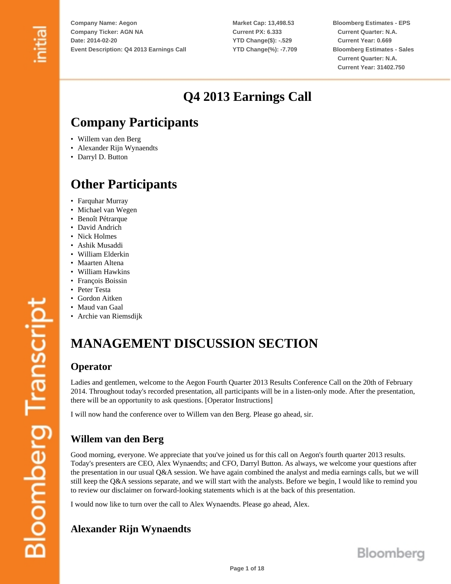**Market Cap: 13,498.53 Current PX: 6.333 YTD Change(\$): -.529 YTD Change(%): -7.709** **Bloomberg Estimates - EPS Current Quarter: N.A. Current Year: 0.669 Bloomberg Estimates - Sales Current Quarter: N.A. Current Year: 31402.750**

# **Q4 2013 Earnings Call**

## **Company Participants**

- Willem van den Berg
- Alexander Rijn Wynaendts
- Darryl D. Button

## **Other Participants**

- Farquhar Murray
- Michael van Wegen
- Benoît Pétrarque
- David Andrich
- Nick Holmes
- Ashik Musaddi
- William Elderkin
- Maarten Altena
- William Hawkins
- François Boissin
- Peter Testa
- Gordon Aitken
- Maud van Gaal
- Archie van Riemsdijk

# **MANAGEMENT DISCUSSION SECTION**

### **Operator**

Ladies and gentlemen, welcome to the Aegon Fourth Quarter 2013 Results Conference Call on the 20th of February 2014. Throughout today's recorded presentation, all participants will be in a listen-only mode. After the presentation, there will be an opportunity to ask questions. [Operator Instructions]

I will now hand the conference over to Willem van den Berg. Please go ahead, sir.

## **Willem van den Berg**

Good morning, everyone. We appreciate that you've joined us for this call on Aegon's fourth quarter 2013 results. Today's presenters are CEO, Alex Wynaendts; and CFO, Darryl Button. As always, we welcome your questions after the presentation in our usual Q&A session. We have again combined the analyst and media earnings calls, but we will still keep the Q&A sessions separate, and we will start with the analysts. Before we begin, I would like to remind you to review our disclaimer on forward-looking statements which is at the back of this presentation.

I would now like to turn over the call to Alex Wynaendts. Please go ahead, Alex.

## **Alexander Rijn Wynaendts**

**Bloomberg Transcript**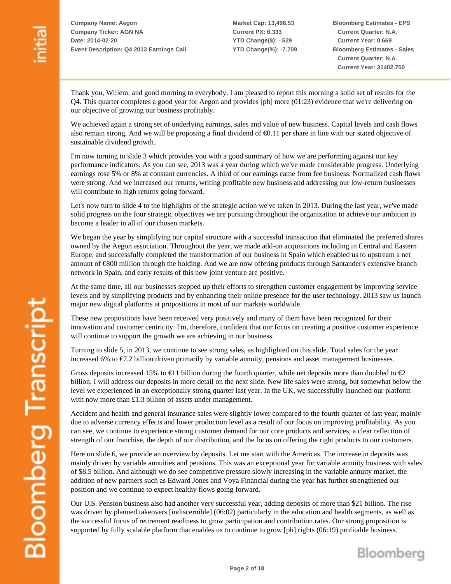**Market Cap: 13,498.53 Current PX: 6.333 YTD Change(\$): -.529 YTD Change(%): -7.709** **Bloomberg Estimates - EPS Current Quarter: N.A. Current Year: 0.669 Bloomberg Estimates - Sales Current Quarter: N.A. Current Year: 31402.750**

Bloomberg

Thank you, Willem, and good morning to everybody. I am pleased to report this morning a solid set of results for the Q4. This quarter completes a good year for Aegon and provides [ph] more (01:23) evidence that we're delivering on our objective of growing our business profitably.

We achieved again a strong set of underlying earnings, sales and value of new business. Capital levels and cash flows also remain strong. And we will be proposing a final dividend of €0.11 per share in line with our stated objective of sustainable dividend growth.

I'm now turning to slide 3 which provides you with a good summary of how we are performing against our key performance indicators. As you can see, 2013 was a year during which we've made considerable progress. Underlying earnings rose 5% or 8% at constant currencies. A third of our earnings came from fee business. Normalized cash flows were strong. And we increased our returns, writing profitable new business and addressing our low-return businesses will contribute to high returns going forward.

Let's now turn to slide 4 to the highlights of the strategic action we've taken in 2013. During the last year, we've made solid progress on the four strategic objectives we are pursuing throughout the organization to achieve our ambition to become a leader in all of our chosen markets.

We began the year by simplifying our capital structure with a successful transaction that eliminated the preferred shares owned by the Aegon association. Throughout the year, we made add-on acquisitions including in Central and Eastern Europe, and successfully completed the transformation of our business in Spain which enabled us to upstream a net amount of €800 million through the holding. And we are now offering products through Santander's extensive branch network in Spain, and early results of this new joint venture are positive.

At the same time, all our businesses stepped up their efforts to strengthen customer engagement by improving service levels and by simplifying products and by enhancing their online presence for the user technology. 2013 saw us launch major new digital platforms at propositions in most of our markets worldwide.

These new propositions have been received very positively and many of them have been recognized for their innovation and customer centricity. I'm, therefore, confident that our focus on creating a positive customer experience will continue to support the growth we are achieving in our business.

Turning to slide 5, in 2013, we continue to see strong sales, as highlighted on this slide. Total sales for the year increased 6% to €7.2 billion driven primarily by variable annuity, pensions and asset management businesses.

Gross deposits increased 15% to  $\in$ 11 billion during the fourth quarter, while net deposits more than doubled to  $\in$ 2 billion. I will address our deposits in more detail on the next slide. New life sales were strong, but somewhat below the level we experienced in an exceptionally strong quarter last year. In the UK, we successfully launched our platform with now more than £1.3 billion of assets under management.

Accident and health and general insurance sales were slightly lower compared to the fourth quarter of last year, mainly due to adverse currency effects and lower production level as a result of our focus on improving profitability. As you can see, we continue to experience strong customer demand for our core products and services, a clear reflection of strength of our franchise, the depth of our distribution, and the focus on offering the right products to our customers.

Here on slide 6, we provide an overview by deposits. Let me start with the Americas. The increase in deposits was mainly driven by variable annuities and pensions. This was an exceptional year for variable annuity business with sales of \$8.5 billion. And although we do see competitive pressure slowly increasing in the variable annuity market, the addition of new partners such as Edward Jones and Voya Financial during the year has further strengthened our position and we continue to expect healthy flows going forward.

Our U.S. Pension business also had another very successful year, adding deposits of more than \$21 billion. The rise was driven by planned takeovers [indiscernible] (06:02) particularly in the education and health segments, as well as the successful focus of retirement readiness to grow participation and contribution rates. Our strong proposition is supported by fully scalable platform that enables us to continue to grow [ph] rights (06:19) profitable business.

**Page 2 of 18**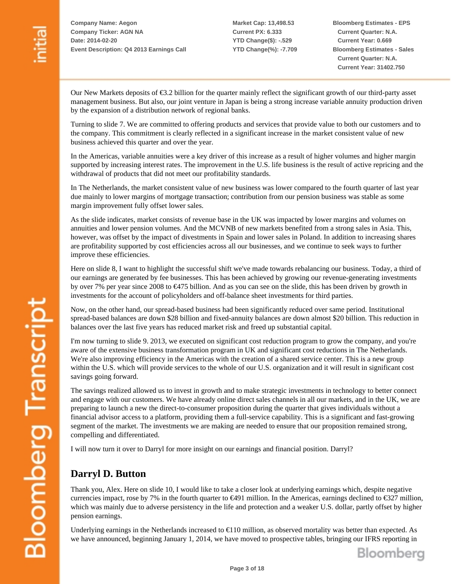**Market Cap: 13,498.53 Current PX: 6.333 YTD Change(\$): -.529 YTD Change(%): -7.709** **Bloomberg Estimates - EPS Current Quarter: N.A. Current Year: 0.669 Bloomberg Estimates - Sales Current Quarter: N.A. Current Year: 31402.750**

Our New Markets deposits of €3.2 billion for the quarter mainly reflect the significant growth of our third-party asset management business. But also, our joint venture in Japan is being a strong increase variable annuity production driven by the expansion of a distribution network of regional banks.

Turning to slide 7. We are committed to offering products and services that provide value to both our customers and to the company. This commitment is clearly reflected in a significant increase in the market consistent value of new business achieved this quarter and over the year.

In the Americas, variable annuities were a key driver of this increase as a result of higher volumes and higher margin supported by increasing interest rates. The improvement in the U.S. life business is the result of active repricing and the withdrawal of products that did not meet our profitability standards.

In The Netherlands, the market consistent value of new business was lower compared to the fourth quarter of last year due mainly to lower margins of mortgage transaction; contribution from our pension business was stable as some margin improvement fully offset lower sales.

As the slide indicates, market consists of revenue base in the UK was impacted by lower margins and volumes on annuities and lower pension volumes. And the MCVNB of new markets benefited from a strong sales in Asia. This, however, was offset by the impact of divestments in Spain and lower sales in Poland. In addition to increasing shares are profitability supported by cost efficiencies across all our businesses, and we continue to seek ways to further improve these efficiencies.

Here on slide 8, I want to highlight the successful shift we've made towards rebalancing our business. Today, a third of our earnings are generated by fee businesses. This has been achieved by growing our revenue-generating investments by over 7% per year since 2008 to €475 billion. And as you can see on the slide, this has been driven by growth in investments for the account of policyholders and off-balance sheet investments for third parties.

Now, on the other hand, our spread-based business had been significantly reduced over same period. Institutional spread-based balances are down \$28 billion and fixed-annuity balances are down almost \$20 billion. This reduction in balances over the last five years has reduced market risk and freed up substantial capital.

I'm now turning to slide 9. 2013, we executed on significant cost reduction program to grow the company, and you're aware of the extensive business transformation program in UK and significant cost reductions in The Netherlands. We're also improving efficiency in the Americas with the creation of a shared service center. This is a new group within the U.S. which will provide services to the whole of our U.S. organization and it will result in significant cost savings going forward.

The savings realized allowed us to invest in growth and to make strategic investments in technology to better connect and engage with our customers. We have already online direct sales channels in all our markets, and in the UK, we are preparing to launch a new the direct-to-consumer proposition during the quarter that gives individuals without a financial advisor access to a platform, providing them a full-service capability. This is a significant and fast-growing segment of the market. The investments we are making are needed to ensure that our proposition remained strong, compelling and differentiated.

I will now turn it over to Darryl for more insight on our earnings and financial position. Darryl?

### **Darryl D. Button**

Thank you, Alex. Here on slide 10, I would like to take a closer look at underlying earnings which, despite negative currencies impact, rose by 7% in the fourth quarter to  $\epsilon$ 491 million. In the Americas, earnings declined to  $\epsilon$ 327 million, which was mainly due to adverse persistency in the life and protection and a weaker U.S. dollar, partly offset by higher pension earnings.

Underlying earnings in the Netherlands increased to €110 million, as observed mortality was better than expected. As we have announced, beginning January 1, 2014, we have moved to prospective tables, bringing our IFRS reporting in

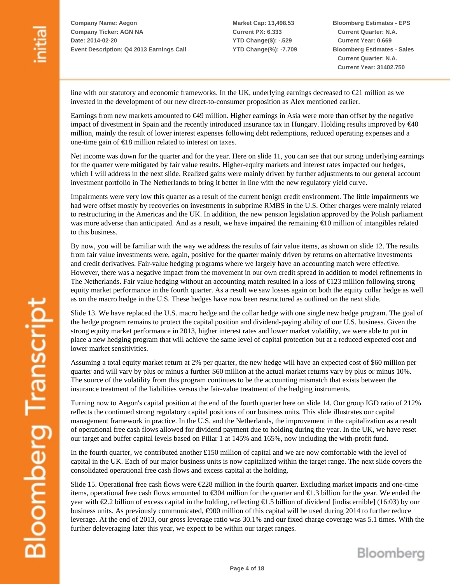**Market Cap: 13,498.53 Current PX: 6.333 YTD Change(\$): -.529 YTD Change(%): -7.709** **Bloomberg Estimates - EPS Current Quarter: N.A. Current Year: 0.669 Bloomberg Estimates - Sales Current Quarter: N.A. Current Year: 31402.750**

line with our statutory and economic frameworks. In the UK, underlying earnings decreased to  $\epsilon$ 21 million as we nvested in the development of our new direct-to-consumer proposition as Alex mentioned earlier. i

Earnings from new markets amounted to  $\epsilon$ 49 million. Higher earnings in Asia were more than offset by the negative impact of divestment in Spain and the recently introduced insurance tax in Hungary. Holding results improved by  $\epsilon$ 40 million, mainly the result of lower interest expenses following debt redemptions, reduced operating expenses and a one-time gain of €18 million related to interest on taxes.

Net income was down for the quarter and for the year. Here on slide 11, you can see that our strong underlying earnings for the quarter were mitigated by fair value results. Higher-equity markets and interest rates impacted our hedges, which I will address in the next slide. Realized gains were mainly driven by further adjustments to our general account investment portfolio in The Netherlands to bring it better in line with the new regulatory yield curve.

Impairments were very low this quarter as a result of the current benign credit environment. The little impairments we had were offset mostly by recoveries on investments in subprime RMBS in the U.S. Other charges were mainly related to restructuring in the Americas and the UK. In addition, the new pension legislation approved by the Polish parliament was more adverse than anticipated. And as a result, we have impaired the remaining  $\epsilon$ 10 million of intangibles related to this business.

By now, you will be familiar with the way we address the results of fair value items, as shown on slide 12. The results from fair value investments were, again, positive for the quarter mainly driven by returns on alternative investments and credit derivatives. Fair-value hedging programs where we largely have an accounting match were effective. However, there was a negative impact from the movement in our own credit spread in addition to model refinements in The Netherlands. Fair value hedging without an accounting match resulted in a loss of €123 million following strong equity market performance in the fourth quarter. As a result we saw losses again on both the equity collar hedge as well as on the macro hedge in the U.S. These hedges have now been restructured as outlined on the next slide.

Slide 13. We have replaced the U.S. macro hedge and the collar hedge with one single new hedge program. The goal of he hedge program remains to protect the capital position and dividend-paying ability of our U.S. business. Given the t strong equity market performance in 2013, higher interest rates and lower market volatility, we were able to put in place a new hedging program that will achieve the same level of capital protection but at a reduced expected cost and lower market sensitivities.

Assuming a total equity market return at 2% per quarter, the new hedge will have an expected cost of \$60 million per quarter and will vary by plus or minus a further \$60 million at the actual market returns vary by plus or minus 10%. The source of the volatility from this program continues to be the accounting mismatch that exists between the insurance treatment of the liabilities versus the fair-value treatment of the hedging instruments.

Turning now to Aegon's capital position at the end of the fourth quarter here on slide 14. Our group IGD ratio of 212% reflects the continued strong regulatory capital positions of our business units. This slide illustrates our capital management framework in practice. In the U.S. and the Netherlands, the improvement in the capitalization as a result of operational free cash flows allowed for dividend payment due to holding during the year. In the UK, we have reset our target and buffer capital levels based on Pillar 1 at 145% and 165%, now including the with-profit fund.

In the fourth quarter, we contributed another £150 million of capital and we are now comfortable with the level of capital in the UK. Each of our major business units is now capitalized within the target range. The next slide covers the consolidated operational free cash flows and excess capital at the holding.

Slide 15. Operational free cash flows were  $\epsilon$ 228 million in the fourth quarter. Excluding market impacts and one-time tems, operational free cash flows amounted to €304 million for the quarter and €1.3 billion for the year. We ended the i year with €2.2 billion of excess capital in the holding, reflecting €1.5 billion of dividend [indiscernible] (16:03) by our business units. As previously communicated,  $\epsilon$ 900 million of this capital will be used during 2014 to further reduce leverage. At the end of 2013, our gross leverage ratio was 30.1% and our fixed charge coverage was 5.1 times. With the further deleveraging later this year, we expect to be within our target ranges.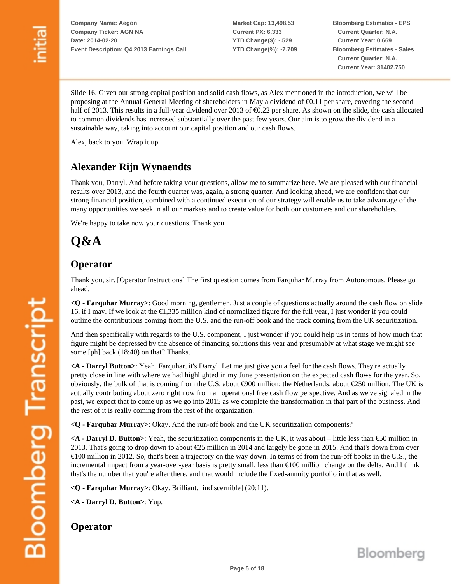**Market Cap: 13,498.53 Current PX: 6.333 YTD Change(\$): -.529 YTD Change(%): -7.709** **Bloomberg Estimates - EPS Current Quarter: N.A. Current Year: 0.669 Bloomberg Estimates - Sales Current Quarter: N.A. Current Year: 31402.750**

Slide 16. Given our strong capital position and solid cash flows, as Alex mentioned in the introduction, we will be proposing at the Annual General Meeting of shareholders in May a dividend of  $\epsilon$ 0.11 per share, covering the second half of 2013. This results in a full-year dividend over 2013 of €0.22 per share. As shown on the slide, the cash allocated to common dividends has increased substantially over the past few years. Our aim is to grow the dividend in a sustainable way, taking into account our capital position and our cash flows.

Alex, back to you. Wrap it up.

### **Alexander Rijn Wynaendts**

Thank you, Darryl. And before taking your questions, allow me to summarize here. We are pleased with our financial results over 2013, and the fourth quarter was, again, a strong quarter. And looking ahead, we are confident that our strong financial position, combined with a continued execution of our strategy will enable us to take advantage of the many opportunities we seek in all our markets and to create value for both our customers and our shareholders.

We're happy to take now your questions. Thank you.

# **Q&A**

#### **Operator**

Thank you, sir. [Operator Instructions] The first question comes from Farquhar Murray from Autonomous. Please go ahead.

**<Q - Farquhar Murray>**: Good morning, gentlemen. Just a couple of questions actually around the cash flow on slide 16, if I may. If we look at the  $\epsilon$ 1,335 million kind of normalized figure for the full year, I just wonder if you could outline the contributions coming from the U.S. and the run-off book and the track coming from the UK securitization.

And then specifically with regards to the U.S. component, I just wonder if you could help us in terms of how much that figure might be depressed by the absence of financing solutions this year and presumably at what stage we might see some [ph] back (18:40) on that? Thanks.

**<A - Darryl Button>**: Yeah, Farquhar, it's Darryl. Let me just give you a feel for the cash flows. They're actually pretty close in line with where we had highlighted in my June presentation on the expected cash flows for the year. So, obviously, the bulk of that is coming from the U.S. about  $\epsilon$ 900 million; the Netherlands, about  $\epsilon$ 250 million. The UK is actually contributing about zero right now from an operational free cash flow perspective. And as we've signaled in the past, we expect that to come up as we go into 2015 as we complete the transformation in that part of the business. And the rest of it is really coming from the rest of the organization.

**<Q - Farquhar Murray>**: Okay. And the run-off book and the UK securitization components?

 $\leq$  **A** - **Darryl D. Button**>: Yeah, the securitization components in the UK, it was about – little less than  $\epsilon$  50 million in 2013. That's going to drop down to about €25 million in 2014 and largely be gone in 2015. And that's down from over  $\epsilon$ 100 million in 2012. So, that's been a trajectory on the way down. In terms of from the run-off books in the U.S., the incremental impact from a year-over-year basis is pretty small, less than €100 million change on the delta. And I think that's the number that you're after there, and that would include the fixed-annuity portfolio in that as well.

**<Q - Farquhar Murray>**: Okay. Brilliant. [indiscernible] (20:11).

**<A - Darryl D. Button>**: Yup.

#### **Operator**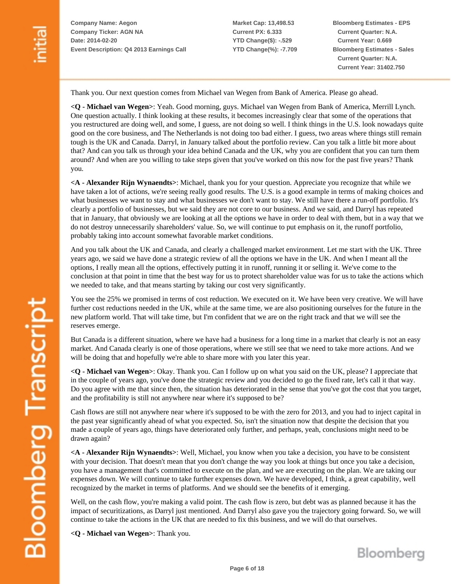**Market Cap: 13,498.53 Current PX: 6.333 YTD Change(\$): -.529 YTD Change(%): -7.709** **Bloomberg Estimates - EPS Current Quarter: N.A. Current Year: 0.669 Bloomberg Estimates - Sales Current Quarter: N.A. Current Year: 31402.750**

Thank you. Our next question comes from Michael van Wegen from Bank of America. Please go ahead.

**<Q - Michael van Wegen>**: Yeah. Good morning, guys. Michael van Wegen from Bank of America, Merrill Lynch. One question actually. I think looking at these results, it becomes increasingly clear that some of the operations that you restructured are doing well, and some, I guess, are not doing so well. I think things in the U.S. look nowadays quite good on the core business, and The Netherlands is not doing too bad either. I guess, two areas where things still remain tough is the UK and Canada. Darryl, in January talked about the portfolio review. Can you talk a little bit more about that? And can you talk us through your idea behind Canada and the UK, why you are confident that you can turn them around? And when are you willing to take steps given that you've worked on this now for the past five years? Thank you.

**<A - Alexander Rijn Wynaendts>**: Michael, thank you for your question. Appreciate you recognize that while we have taken a lot of actions, we're seeing really good results. The U.S. is a good example in terms of making choices and what businesses we want to stay and what businesses we don't want to stay. We still have there a run-off portfolio. It's clearly a portfolio of businesses, but we said they are not core to our business. And we said, and Darryl has repeated that in January, that obviously we are looking at all the options we have in order to deal with them, but in a way that we do not destroy unnecessarily shareholders' value. So, we will continue to put emphasis on it, the runoff portfolio, probably taking into account somewhat favorable market conditions.

And you talk about the UK and Canada, and clearly a challenged market environment. Let me start with the UK. Three years ago, we said we have done a strategic review of all the options we have in the UK. And when I meant all the options, I really mean all the options, effectively putting it in runoff, running it or selling it. We've come to the conclusion at that point in time that the best way for us to protect shareholder value was for us to take the actions which we needed to take, and that means starting by taking our cost very significantly.

You see the 25% we promised in terms of cost reduction. We executed on it. We have been very creative. We will have further cost reductions needed in the UK, while at the same time, we are also positioning ourselves for the future in the new platform world. That will take time, but I'm confident that we are on the right track and that we will see the reserves emerge.

But Canada is a different situation, where we have had a business for a long time in a market that clearly is not an easy market. And Canada clearly is one of those operations, where we still see that we need to take more actions. And we will be doing that and hopefully we're able to share more with you later this year.

**<Q - Michael van Wegen>**: Okay. Thank you. Can I follow up on what you said on the UK, please? I appreciate that in the couple of years ago, you've done the strategic review and you decided to go the fixed rate, let's call it that way. Do you agree with me that since then, the situation has deteriorated in the sense that you've got the cost that you target, and the profitability is still not anywhere near where it's supposed to be?

Cash flows are still not anywhere near where it's supposed to be with the zero for 2013, and you had to inject capital in the past year significantly ahead of what you expected. So, isn't the situation now that despite the decision that you made a couple of years ago, things have deteriorated only further, and perhaps, yeah, conclusions might need to be drawn again?

**<A - Alexander Rijn Wynaendts>**: Well, Michael, you know when you take a decision, you have to be consistent with your decision. That doesn't mean that you don't change the way you look at things but once you take a decision, you have a management that's committed to execute on the plan, and we are executing on the plan. We are taking our expenses down. We will continue to take further expenses down. We have developed, I think, a great capability, well recognized by the market in terms of platforms. And we should see the benefits of it emerging.

Well, on the cash flow, you're making a valid point. The cash flow is zero, but debt was as planned because it has the impact of securitizations, as Darryl just mentioned. And Darryl also gave you the trajectory going forward. So, we will continue to take the actions in the UK that are needed to fix this business, and we will do that ourselves.

**<Q - Michael van Wegen>**: Thank you.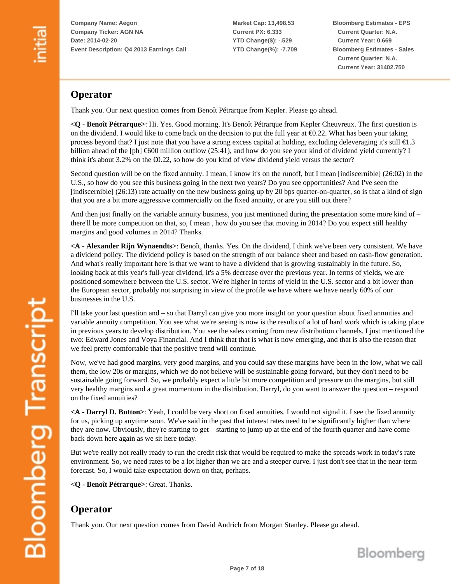**Market Cap: 13,498.53 Current PX: 6.333 YTD Change(\$): -.529 YTD Change(%): -7.709** **Bloomberg Estimates - EPS Current Quarter: N.A. Current Year: 0.669 Bloomberg Estimates - Sales Current Quarter: N.A. Current Year: 31402.750**

### **Operator**

Thank you. Our next question comes from Benoît Pétrarque from Kepler. Please go ahead.

**<Q - Benoît Pétrarque>**: Hi. Yes. Good morning. It's Benoît Pétrarque from Kepler Cheuvreux. The first question is on the dividend. I would like to come back on the decision to put the full year at €0.22. What has been your taking process beyond that? I just note that you have a strong excess capital at holding, excluding deleveraging it's still  $\epsilon$ 1.3 billion ahead of the [ph]  $\epsilon$ 600 million outflow (25:41), and how do you see your kind of dividend yield currently? I think it's about 3.2% on the  $\epsilon 0.22$ , so how do you kind of view dividend yield versus the sector?

Second question will be on the fixed annuity. I mean, I know it's on the runoff, but I mean [indiscernible] (26:02) in the U.S., so how do you see this business going in the next two years? Do you see opportunities? And I've seen the [indiscernible] (26:13) rate actually on the new business going up by 20 bps quarter-on-quarter, so is that a kind of sign that you are a bit more aggressive commercially on the fixed annuity, or are you still out there?

And then just finally on the variable annuity business, you just mentioned during the presentation some more kind of – there'll be more competition on that, so, I mean , how do you see that moving in 2014? Do you expect still healthy margins and good volumes in 2014? Thanks.

**<A - Alexander Rijn Wynaendts>**: Benoît, thanks. Yes. On the dividend, I think we've been very consistent. We have a dividend policy. The dividend policy is based on the strength of our balance sheet and based on cash-flow generation. And what's really important here is that we want to have a dividend that is growing sustainably in the future. So, looking back at this year's full-year dividend, it's a 5% decrease over the previous year. In terms of yields, we are positioned somewhere between the U.S. sector. We're higher in terms of yield in the U.S. sector and a bit lower than the European sector, probably not surprising in view of the profile we have where we have nearly 60% of our businesses in the U.S.

I'll take your last question and – so that Darryl can give you more insight on your question about fixed annuities and variable annuity competition. You see what we're seeing is now is the results of a lot of hard work which is taking place in previous years to develop distribution. You see the sales coming from new distribution channels. I just mentioned the two: Edward Jones and Voya Financial. And I think that that is what is now emerging, and that is also the reason that we feel pretty comfortable that the positive trend will continue.

Now, we've had good margins, very good margins, and you could say these margins have been in the low, what we call them, the low 20s or margins, which we do not believe will be sustainable going forward, but they don't need to be sustainable going forward. So, we probably expect a little bit more competition and pressure on the margins, but still very healthy margins and a great momentum in the distribution. Darryl, do you want to answer the question – respond on the fixed annuities?

**<A - Darryl D. Button>**: Yeah, I could be very short on fixed annuities. I would not signal it. I see the fixed annuity for us, picking up anytime soon. We've said in the past that interest rates need to be significantly higher than where they are now. Obviously, they're starting to get – starting to jump up at the end of the fourth quarter and have come back down here again as we sit here today.

But we're really not really ready to run the credit risk that would be required to make the spreads work in today's rate environment. So, we need rates to be a lot higher than we are and a steeper curve. I just don't see that in the near-term forecast. So, I would take expectation down on that, perhaps.

**<Q - Benoît Pétrarque>**: Great. Thanks.

### **Operator**

Thank you. Our next question comes from David Andrich from Morgan Stanley. Please go ahead.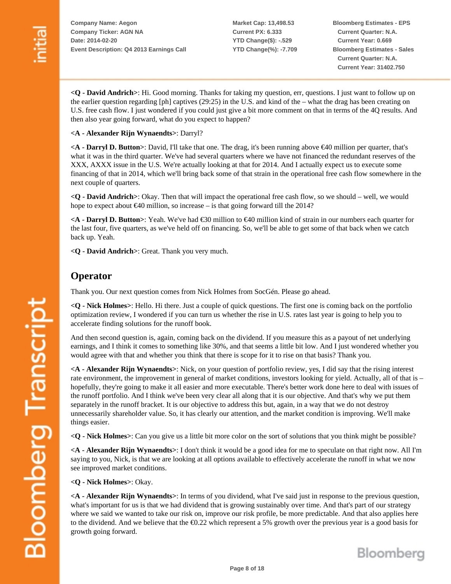**Market Cap: 13,498.53 Current PX: 6.333 YTD Change(\$): -.529 YTD Change(%): -7.709** **Bloomberg Estimates - EPS Current Quarter: N.A. Current Year: 0.669 Bloomberg Estimates - Sales Current Quarter: N.A. Current Year: 31402.750**

**<Q - David Andrich>**: Hi. Good morning. Thanks for taking my question, err, questions. I just want to follow up on the earlier question regarding [ph] captives (29:25) in the U.S. and kind of the – what the drag has been creating on U.S. free cash flow. I just wondered if you could just give a bit more comment on that in terms of the 4Q results. And then also year going forward, what do you expect to happen?

#### **<A - Alexander Rijn Wynaendts>**: Darryl?

**<A - Darryl D. Button>**: David, I'll take that one. The drag, it's been running above €40 million per quarter, that's what it was in the third quarter. We've had several quarters where we have not financed the redundant reserves of the XXX, AXXX issue in the U.S. We're actually looking at that for 2014. And I actually expect us to execute some financing of that in 2014, which we'll bring back some of that strain in the operational free cash flow somewhere in the next couple of quarters.

**<Q - David Andrich>**: Okay. Then that will impact the operational free cash flow, so we should – well, we would hope to expect about  $\epsilon$ 40 million, so increase – is that going forward till the 2014?

**<A - Darryl D. Button>**: Yeah. We've had €30 million to €40 million kind of strain in our numbers each quarter for the last four, five quarters, as we've held off on financing. So, we'll be able to get some of that back when we catch back up. Yeah.

**<Q - David Andrich>**: Great. Thank you very much.

#### **Operator**

Thank you. Our next question comes from Nick Holmes from SocGén. Please go ahead.

**<Q - Nick Holmes>**: Hello. Hi there. Just a couple of quick questions. The first one is coming back on the portfolio optimization review, I wondered if you can turn us whether the rise in U.S. rates last year is going to help you to accelerate finding solutions for the runoff book.

And then second question is, again, coming back on the dividend. If you measure this as a payout of net underlying earnings, and I think it comes to something like 30%, and that seems a little bit low. And I just wondered whether you would agree with that and whether you think that there is scope for it to rise on that basis? Thank you.

**<A - Alexander Rijn Wynaendts>**: Nick, on your question of portfolio review, yes, I did say that the rising interest rate environment, the improvement in general of market conditions, investors looking for yield. Actually, all of that is – hopefully, they're going to make it all easier and more executable. There's better work done here to deal with issues of the runoff portfolio. And I think we've been very clear all along that it is our objective. And that's why we put them separately in the runoff bracket. It is our objective to address this but, again, in a way that we do not destroy unnecessarily shareholder value. So, it has clearly our attention, and the market condition is improving. We'll make things easier.

**<Q - Nick Holmes>**: Can you give us a little bit more color on the sort of solutions that you think might be possible?

**<A - Alexander Rijn Wynaendts>**: I don't think it would be a good idea for me to speculate on that right now. All I'm saying to you, Nick, is that we are looking at all options available to effectively accelerate the runoff in what we now see improved market conditions.

**<Q - Nick Holmes>**: Okay.

**<A - Alexander Rijn Wynaendts>**: In terms of you dividend, what I've said just in response to the previous question, what's important for us is that we had dividend that is growing sustainably over time. And that's part of our strategy where we said we wanted to take our risk on, improve our risk profile, be more predictable. And that also applies here to the dividend. And we believe that the  $\epsilon 0.22$  which represent a 5% growth over the previous year is a good basis for growth going forward.

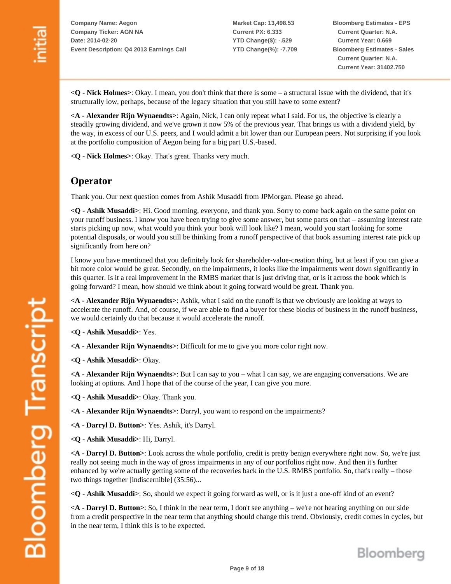**Market Cap: 13,498.53 Current PX: 6.333 YTD Change(\$): -.529 YTD Change(%): -7.709** **Bloomberg Estimates - EPS Current Quarter: N.A. Current Year: 0.669 Bloomberg Estimates - Sales Current Quarter: N.A. Current Year: 31402.750**

**<Q - Nick Holmes>**: Okay. I mean, you don't think that there is some – a structural issue with the dividend, that it's structurally low, perhaps, because of the legacy situation that you still have to some extent?

**<A - Alexander Rijn Wynaendts>**: Again, Nick, I can only repeat what I said. For us, the objective is clearly a steadily growing dividend, and we've grown it now 5% of the previous year. That brings us with a dividend yield, by the way, in excess of our U.S. peers, and I would admit a bit lower than our European peers. Not surprising if you look at the portfolio composition of Aegon being for a big part U.S.-based.

**<Q - Nick Holmes>**: Okay. That's great. Thanks very much.

#### **Operator**

Thank you. Our next question comes from Ashik Musaddi from JPMorgan. Please go ahead.

**<Q - Ashik Musaddi>**: Hi. Good morning, everyone, and thank you. Sorry to come back again on the same point on your runoff business. I know you have been trying to give some answer, but some parts on that – assuming interest rate starts picking up now, what would you think your book will look like? I mean, would you start looking for some potential disposals, or would you still be thinking from a runoff perspective of that book assuming interest rate pick up significantly from here on?

I know you have mentioned that you definitely look for shareholder-value-creation thing, but at least if you can give a bit more color would be great. Secondly, on the impairments, it looks like the impairments went down significantly in this quarter. Is it a real improvement in the RMBS market that is just driving that, or is it across the book which is going forward? I mean, how should we think about it going forward would be great. Thank you.

**<A - Alexander Rijn Wynaendts>**: Ashik, what I said on the runoff is that we obviously are looking at ways to accelerate the runoff. And, of course, if we are able to find a buyer for these blocks of business in the runoff business, we would certainly do that because it would accelerate the runoff.

**<Q - Ashik Musaddi>**: Yes.

**<A - Alexander Rijn Wynaendts>**: Difficult for me to give you more color right now.

**<Q - Ashik Musaddi>**: Okay.

**<A - Alexander Rijn Wynaendts>**: But I can say to you – what I can say, we are engaging conversations. We are looking at options. And I hope that of the course of the year, I can give you more.

**<Q - Ashik Musaddi>**: Okay. Thank you.

**<A - Alexander Rijn Wynaendts>**: Darryl, you want to respond on the impairments?

**<A - Darryl D. Button>**: Yes. Ashik, it's Darryl.

**<Q - Ashik Musaddi>**: Hi, Darryl.

**<A - Darryl D. Button>**: Look across the whole portfolio, credit is pretty benign everywhere right now. So, we're just really not seeing much in the way of gross impairments in any of our portfolios right now. And then it's further enhanced by we're actually getting some of the recoveries back in the U.S. RMBS portfolio. So, that's really – those two things together [indiscernible] (35:56)...

**<Q - Ashik Musaddi>**: So, should we expect it going forward as well, or is it just a one-off kind of an event?

**<A - Darryl D. Button>**: So, I think in the near term, I don't see anything – we're not hearing anything on our side from a credit perspective in the near term that anything should change this trend. Obviously, credit comes in cycles, but in the near term, I think this is to be expected.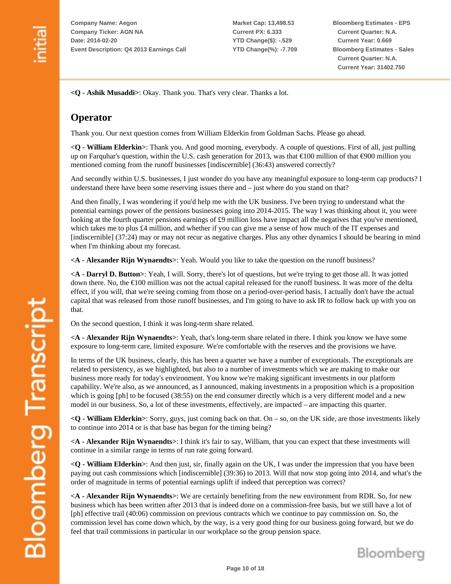**Market Cap: 13,498.53 Current PX: 6.333 YTD Change(\$): -.529 YTD Change(%): -7.709** **Bloomberg Estimates - EPS Current Quarter: N.A. Current Year: 0.669 Bloomberg Estimates - Sales Current Quarter: N.A. Current Year: 31402.750**

**<Q - Ashik Musaddi>**: Okay. Thank you. That's very clear. Thanks a lot.

### **Operator**

Thank you. Our next question comes from William Elderkin from Goldman Sachs. Please go ahead.

**<Q - William Elderkin>**: Thank you. And good morning, everybody. A couple of questions. First of all, just pulling up on Farquhar's question, within the U.S. cash generation for 2013, was that €100 million of that €900 million you mentioned coming from the runoff businesses [indiscernible] (36:43) answered correctly?

And secondly within U.S. businesses, I just wonder do you have any meaningful exposure to long-term cap products? I understand there have been some reserving issues there and – just where do you stand on that?

And then finally, I was wondering if you'd help me with the UK business. I've been trying to understand what the potential earnings power of the pensions businesses going into 2014-2015. The way I was thinking about it, you were looking at the fourth quarter pensions earnings of £9 million loss have impact all the negatives that you've mentioned, which takes me to plus £4 million, and whether if you can give me a sense of how much of the IT expenses and [indiscernible] (37:24) may or may not recur as negative charges. Plus any other dynamics I should be bearing in mind when I'm thinking about my forecast.

**<A - Alexander Rijn Wynaendts>**: Yeah. Would you like to take the question on the runoff business?

**<A - Darryl D. Button>**: Yeah, I will. Sorry, there's lot of questions, but we're trying to get those all. It was jotted down there. No, the €100 million was not the actual capital released for the runoff business. It was more of the delta effect, if you will, that we're seeing coming from those on a period-over-period basis. I actually don't have the actual capital that was released from those runoff businesses, and I'm going to have to ask IR to follow back up with you on that.

On the second question, I think it was long-term share related.

**<A - Alexander Rijn Wynaendts>**: Yeah, that's long-term share related in there. I think you know we have some exposure to long-term care, limited exposure. We're comfortable with the reserves and the provisions we have.

In terms of the UK business, clearly, this has been a quarter we have a number of exceptionals. The exceptionals are related to persistency, as we highlighted, but also to a number of investments which we are making to make our business more ready for today's environment. You know we're making significant investments in our platform capability. We're also, as we announced, as I announced, making investments in a proposition which is a proposition which is going [ph] to be focused (38:55) on the end consumer directly which is a very different model and a new model in our business. So, a lot of these investments, effectively, are impacted – are impacting this quarter.

**<Q - William Elderkin>**: Sorry, guys, just coming back on that. On – so, on the UK side, are those investments likely to continue into 2014 or is that base has begun for the timing being?

**<A - Alexander Rijn Wynaendts>**: I think it's fair to say, William, that you can expect that these investments will continue in a similar range in terms of run rate going forward.

**<Q - William Elderkin>**: And then just, sir, finally again on the UK, I was under the impression that you have been paying out cash commissions which [indiscernible] (39:36) to 2013. Will that now stop going into 2014, and what's the order of magnitude in terms of potential earnings uplift if indeed that perception was correct?

**<A - Alexander Rijn Wynaendts>**: We are certainly benefiting from the new environment from RDR. So, for new business which has been written after 2013 that is indeed done on a commission-free basis, but we still have a lot of [ph] effective trail (40:06) commission on previous contracts which we continue to pay commission on. So, the commission level has come down which, by the way, is a very good thing for our business going forward, but we do feel that trail commissions in particular in our workplace so the group pension space.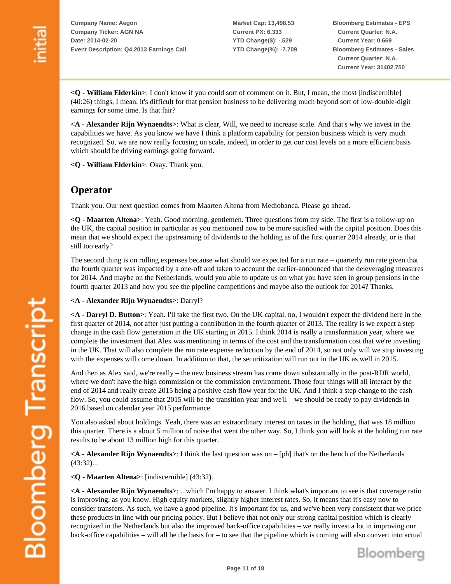**Market Cap: 13,498.53 Current PX: 6.333 YTD Change(\$): -.529 YTD Change(%): -7.709** **Bloomberg Estimates - EPS Current Quarter: N.A. Current Year: 0.669 Bloomberg Estimates - Sales Current Quarter: N.A. Current Year: 31402.750**

**<Q - William Elderkin>**: I don't know if you could sort of comment on it. But, I mean, the most [indiscernible] 40:26) things, I mean, it's difficult for that pension business to be delivering much beyond sort of low-double-digit ( earnings for some time. Is that fair?

**A - Alexander Rijn Wynaendts>**: What is clear, Will, we need to increase scale. And that's why we invest in the **<** capabilities we have. As you know we have I think a platform capability for pension business which is very much recognized. So, we are now really focusing on scale, indeed, in order to get our cost levels on a more efficient basis which should be driving earnings going forward.

**Q - William Elderkin>**: Okay. Thank you. **<**

#### **Operator**

Thank you. Our next question comes from Maarten Altena from Mediobanca. Please go ahead.

**Q - Maarten Altena>**: Yeah. Good morning, gentlemen. Three questions from my side. The first is a follow-up on **<** he UK, the capital position in particular as you mentioned now to be more satisfied with the capital position. Does this t mean that we should expect the upstreaming of dividends to the holding as of the first quarter 2014 already, or is that still too early?

The second thing is on rolling expenses because what should we expected for a run rate – quarterly run rate given that he fourth quarter was impacted by a one-off and taken to account the earlier-announced that the deleveraging measures t for 2014. And maybe on the Netherlands, would you able to update us on what you have seen in group pensions in the fourth quarter 2013 and how you see the pipeline competitions and maybe also the outlook for 2014? Thanks.

**A - Alexander Rijn Wynaendts>**: Darryl? **<**

**A - Darryl D. Button>**: Yeah. I'll take the first two. On the UK capital, no, I wouldn't expect the dividend here in the **<** first quarter of 2014, not after just putting a contribution in the fourth quarter of 2013. The reality is we expect a step change in the cash flow generation in the UK starting in 2015. I think 2014 is really a transformation year, where we complete the investment that Alex was mentioning in terms of the cost and the transformation cost that we're investing n the UK. That will also complete the run rate expense reduction by the end of 2014, so not only will we stop investing i with the expenses will come down. In addition to that, the securitization will run out in the UK as well in 2015.

And then as Alex said, we're really – the new business stream has come down substantially in the post-RDR world, where we don't have the high commission or the commission environment. Those four things will all interact by the end of 2014 and really create 2015 being a positive cash flow year for the UK. And I think a step change to the cash flow. So, you could assume that 2015 will be the transition year and we'll – we should be ready to pay dividends in 2016 based on calendar year 2015 performance.

You also asked about holdings. Yeah, there was an extraordinary interest on taxes in the holding, that was 18 million this quarter. There is a about 5 million of noise that went the other way. So, I think you will look at the holding run rate results to be about 13 million high for this quarter.

**A - Alexander Rijn Wynaendts>**: I think the last question was on – [ph] that's on the bench of the Netherlands **<**  $(43:32)...$ 

**Q - Maarten Altena>**: [indiscernible] (43:32). **<**

**A - Alexander Rijn Wynaendts>**: ...which I'm happy to answer. I think what's important to see is that coverage ratio **<** is improving, as you know. High equity markets, slightly higher interest rates. So, it means that it's easy now to consider transfers. As such, we have a good pipeline. It's important for us, and we've been very consistent that we price hese products in line with our pricing policy. But I believe that not only our strong capital position which is clearly t recognized in the Netherlands but also the improved back-office capabilities – we really invest a lot in improving our back-office capabilities – will all be the basis for – to see that the pipeline which is coming will also convert into actual

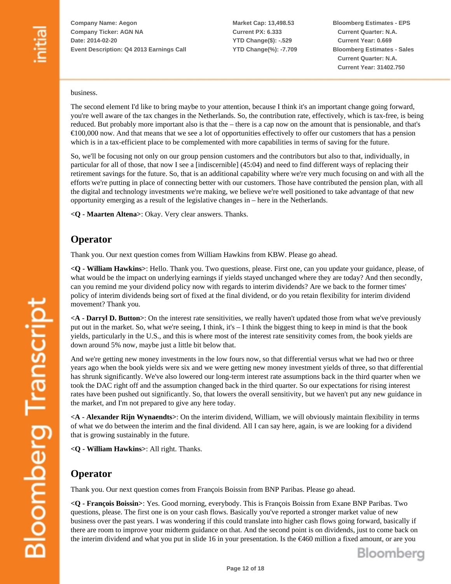**Market Cap: 13,498.53 Current PX: 6.333 YTD Change(\$): -.529 YTD Change(%): -7.709** **Bloomberg Estimates - EPS Current Quarter: N.A. Current Year: 0.669 Bloomberg Estimates - Sales Current Quarter: N.A. Current Year: 31402.750**

#### business.

The second element I'd like to bring maybe to your attention, because I think it's an important change going forward, you're well aware of the tax changes in the Netherlands. So, the contribution rate, effectively, which is tax-free, is being reduced. But probably more important also is that the – there is a cap now on the amount that is pensionable, and that's  $€100,000$  now. And that means that we see a lot of opportunities effectively to offer our customers that has a pension which is in a tax-efficient place to be complemented with more capabilities in terms of saving for the future.

So, we'll be focusing not only on our group pension customers and the contributors but also to that, individually, in particular for all of those, that now I see a [indiscernible] (45:04) and need to find different ways of replacing their retirement savings for the future. So, that is an additional capability where we're very much focusing on and with all the efforts we're putting in place of connecting better with our customers. Those have contributed the pension plan, with all the digital and technology investments we're making, we believe we're well positioned to take advantage of that new opportunity emerging as a result of the legislative changes in – here in the Netherlands.

**<Q - Maarten Altena>**: Okay. Very clear answers. Thanks.

#### **Operator**

Thank you. Our next question comes from William Hawkins from KBW. Please go ahead.

**<Q - William Hawkins>**: Hello. Thank you. Two questions, please. First one, can you update your guidance, please, of what would be the impact on underlying earnings if yields stayed unchanged where they are today? And then secondly, can you remind me your dividend policy now with regards to interim dividends? Are we back to the former times' policy of interim dividends being sort of fixed at the final dividend, or do you retain flexibility for interim dividend movement? Thank you.

**<A - Darryl D. Button>**: On the interest rate sensitivities, we really haven't updated those from what we've previously put out in the market. So, what we're seeing, I think, it's – I think the biggest thing to keep in mind is that the book yields, particularly in the U.S., and this is where most of the interest rate sensitivity comes from, the book yields are down around 5% now, maybe just a little bit below that.

And we're getting new money investments in the low fours now, so that differential versus what we had two or three years ago when the book yields were six and we were getting new money investment yields of three, so that differential has shrunk significantly. We've also lowered our long-term interest rate assumptions back in the third quarter when we took the DAC right off and the assumption changed back in the third quarter. So our expectations for rising interest rates have been pushed out significantly. So, that lowers the overall sensitivity, but we haven't put any new guidance in the market, and I'm not prepared to give any here today.

**<A - Alexander Rijn Wynaendts>**: On the interim dividend, William, we will obviously maintain flexibility in terms of what we do between the interim and the final dividend. All I can say here, again, is we are looking for a dividend that is growing sustainably in the future.

**<Q - William Hawkins>**: All right. Thanks.

### **Operator**

Thank you. Our next question comes from François Boissin from BNP Paribas. Please go ahead.

**<Q - François Boissin>**: Yes. Good morning, everybody. This is François Boissin from Exane BNP Paribas. Two questions, please. The first one is on your cash flows. Basically you've reported a stronger market value of new business over the past years. I was wondering if this could translate into higher cash flows going forward, basically if there are room to improve your midterm guidance on that. And the second point is on dividends, just to come back on the interim dividend and what you put in slide 16 in your presentation. Is the €460 million a fixed amount, or are you

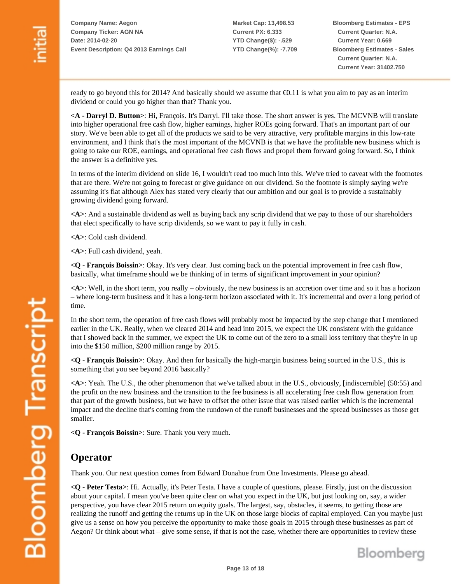**Market Cap: 13,498.53 Current PX: 6.333 YTD Change(\$): -.529 YTD Change(%): -7.709** **Bloomberg Estimates - EPS Current Quarter: N.A. Current Year: 0.669 Bloomberg Estimates - Sales Current Quarter: N.A. Current Year: 31402.750**

ready to go beyond this for 2014? And basically should we assume that  $\epsilon$ 0.11 is what you aim to pay as an interim dividend or could you go higher than that? Thank you.

**<A - Darryl D. Button>**: Hi, François. It's Darryl. I'll take those. The short answer is yes. The MCVNB will translate into higher operational free cash flow, higher earnings, higher ROEs going forward. That's an important part of our story. We've been able to get all of the products we said to be very attractive, very profitable margins in this low-rate environment, and I think that's the most important of the MCVNB is that we have the profitable new business which is going to take our ROE, earnings, and operational free cash flows and propel them forward going forward. So, I think the answer is a definitive yes.

In terms of the interim dividend on slide 16, I wouldn't read too much into this. We've tried to caveat with the footnotes that are there. We're not going to forecast or give guidance on our dividend. So the footnote is simply saying we're assuming it's flat although Alex has stated very clearly that our ambition and our goal is to provide a sustainably growing dividend going forward.

**<A>**: And a sustainable dividend as well as buying back any scrip dividend that we pay to those of our shareholders that elect specifically to have scrip dividends, so we want to pay it fully in cash.

**<A>**: Cold cash dividend.

**<A>**: Full cash dividend, yeah.

**<Q - François Boissin>**: Okay. It's very clear. Just coming back on the potential improvement in free cash flow, basically, what timeframe should we be thinking of in terms of significant improvement in your opinion?

**<A>**: Well, in the short term, you really – obviously, the new business is an accretion over time and so it has a horizon – where long-term business and it has a long-term horizon associated with it. It's incremental and over a long period of time.

In the short term, the operation of free cash flows will probably most be impacted by the step change that I mentioned earlier in the UK. Really, when we cleared 2014 and head into 2015, we expect the UK consistent with the guidance that I showed back in the summer, we expect the UK to come out of the zero to a small loss territory that they're in up into the \$150 million, \$200 million range by 2015.

**<Q - François Boissin>**: Okay. And then for basically the high-margin business being sourced in the U.S., this is something that you see beyond 2016 basically?

**<A>**: Yeah. The U.S., the other phenomenon that we've talked about in the U.S., obviously, [indiscernible] (50:55) and the profit on the new business and the transition to the fee business is all accelerating free cash flow generation from that part of the growth business, but we have to offset the other issue that was raised earlier which is the incremental impact and the decline that's coming from the rundown of the runoff businesses and the spread businesses as those get smaller.

**<Q - François Boissin>**: Sure. Thank you very much.

#### **Operator**

**Bloomberg Transcript** 

Thank you. Our next question comes from Edward Donahue from One Investments. Please go ahead.

**<Q - Peter Testa>**: Hi. Actually, it's Peter Testa. I have a couple of questions, please. Firstly, just on the discussion about your capital. I mean you've been quite clear on what you expect in the UK, but just looking on, say, a wider perspective, you have clear 2015 return on equity goals. The largest, say, obstacles, it seems, to getting those are realizing the runoff and getting the returns up in the UK on those large blocks of capital employed. Can you maybe just give us a sense on how you perceive the opportunity to make those goals in 2015 through these businesses as part of Aegon? Or think about what – give some sense, if that is not the case, whether there are opportunities to review these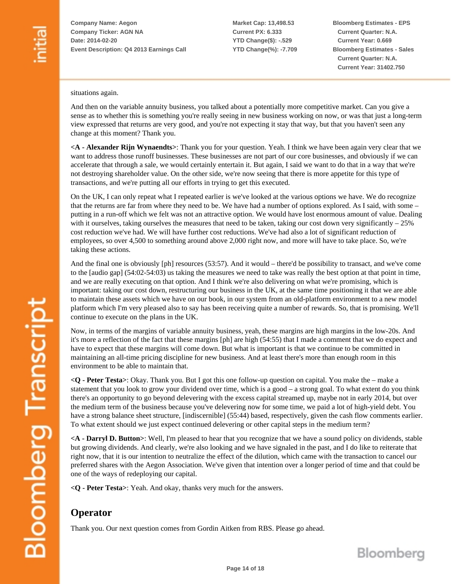**Market Cap: 13,498.53 Current PX: 6.333 YTD Change(\$): -.529 YTD Change(%): -7.709** **Bloomberg Estimates - EPS Current Quarter: N.A. Current Year: 0.669 Bloomberg Estimates - Sales Current Quarter: N.A. Current Year: 31402.750**

situations again.

And then on the variable annuity business, you talked about a potentially more competitive market. Can you give a sense as to whether this is something you're really seeing in new business working on now, or was that just a long-term view expressed that returns are very good, and you're not expecting it stay that way, but that you haven't seen any change at this moment? Thank you.

**<A - Alexander Rijn Wynaendts>**: Thank you for your question. Yeah. I think we have been again very clear that we want to address those runoff businesses. These businesses are not part of our core businesses, and obviously if we can accelerate that through a sale, we would certainly entertain it. But again, I said we want to do that in a way that we're not destroying shareholder value. On the other side, we're now seeing that there is more appetite for this type of transactions, and we're putting all our efforts in trying to get this executed.

On the UK, I can only repeat what I repeated earlier is we've looked at the various options we have. We do recognize that the returns are far from where they need to be. We have had a number of options explored. As I said, with some – putting in a run-off which we felt was not an attractive option. We would have lost enormous amount of value. Dealing with it ourselves, taking ourselves the measures that need to be taken, taking our cost down very significantly – 25% cost reduction we've had. We will have further cost reductions. We've had also a lot of significant reduction of employees, so over 4,500 to something around above 2,000 right now, and more will have to take place. So, we're taking these actions.

And the final one is obviously [ph] resources (53:57). And it would – there'd be possibility to transact, and we've come to the [audio gap] (54:02-54:03) us taking the measures we need to take was really the best option at that point in time, and we are really executing on that option. And I think we're also delivering on what we're promising, which is important: taking our cost down, restructuring our business in the UK, at the same time positioning it that we are able to maintain these assets which we have on our book, in our system from an old-platform environment to a new model platform which I'm very pleased also to say has been receiving quite a number of rewards. So, that is promising. We'll continue to execute on the plans in the UK.

Now, in terms of the margins of variable annuity business, yeah, these margins are high margins in the low-20s. And it's more a reflection of the fact that these margins [ph] are high (54:55) that I made a comment that we do expect and have to expect that these margins will come down. But what is important is that we continue to be committed in maintaining an all-time pricing discipline for new business. And at least there's more than enough room in this environment to be able to maintain that.

**<Q - Peter Testa>**: Okay. Thank you. But I got this one follow-up question on capital. You make the – make a statement that you look to grow your dividend over time, which is a good – a strong goal. To what extent do you think there's an opportunity to go beyond delevering with the excess capital streamed up, maybe not in early 2014, but over the medium term of the business because you've delevering now for some time, we paid a lot of high-yield debt. You have a strong balance sheet structure, [indiscernible] (55:44) based, respectively, given the cash flow comments earlier. To what extent should we just expect continued delevering or other capital steps in the medium term?

**<A - Darryl D. Button>**: Well, I'm pleased to hear that you recognize that we have a sound policy on dividends, stable but growing dividends. And clearly, we're also looking and we have signaled in the past, and I do like to reiterate that right now, that it is our intention to neutralize the effect of the dilution, which came with the transaction to cancel our preferred shares with the Aegon Association. We've given that intention over a longer period of time and that could be one of the ways of redeploying our capital.

**<Q - Peter Testa>**: Yeah. And okay, thanks very much for the answers.

### **Operator**

Thank you. Our next question comes from Gordin Aitken from RBS. Please go ahead.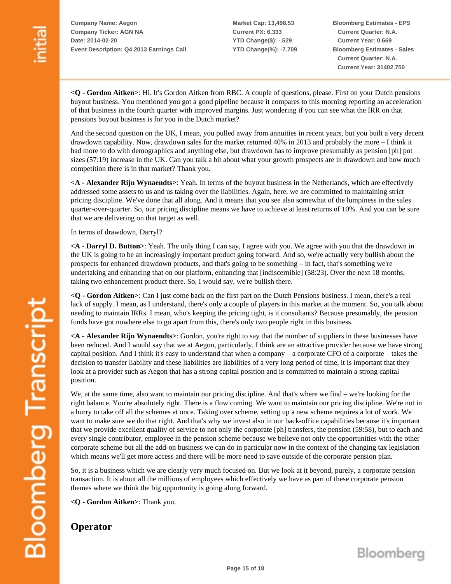**Market Cap: 13,498.53 Current PX: 6.333 YTD Change(\$): -.529 YTD Change(%): -7.709** **Bloomberg Estimates - EPS Current Quarter: N.A. Current Year: 0.669 Bloomberg Estimates - Sales Current Quarter: N.A. Current Year: 31402.750**

**<Q - Gordon Aitken>**: Hi. It's Gordon Aitken from RBC. A couple of questions, please. First on your Dutch pensions buyout business. You mentioned you got a good pipeline because it compares to this morning reporting an acceleration of that business in the fourth quarter with improved margins. Just wondering if you can see what the IRR on that pensions buyout business is for you in the Dutch market?

And the second question on the UK, I mean, you pulled away from annuities in recent years, but you built a very decent drawdown capability. Now, drawdown sales for the market returned 40% in 2013 and probably the more – I think it had more to do with demographics and anything else, but drawdown has to improve presumably as pension [ph] pot sizes (57:19) increase in the UK. Can you talk a bit about what your growth prospects are in drawdown and how much competition there is in that market? Thank you.

**<A - Alexander Rijn Wynaendts>**: Yeah. In terms of the buyout business in the Netherlands, which are effectively addressed some assets to us and us taking over the liabilities. Again, here, we are committed to maintaining strict pricing discipline. We've done that all along. And it means that you see also somewhat of the lumpiness in the sales quarter-over-quarter. So, our pricing discipline means we have to achieve at least returns of 10%. And you can be sure that we are delivering on that target as well.

In terms of drawdown, Darryl?

**<A - Darryl D. Button>**: Yeah. The only thing I can say, I agree with you. We agree with you that the drawdown in the UK is going to be an increasingly important product going forward. And so, we're actually very bullish about the prospects for enhanced drawdown products, and that's going to be something – in fact, that's something we're undertaking and enhancing that on our platform, enhancing that [indiscernible] (58:23). Over the next 18 months, taking two enhancement product there. So, I would say, we're bullish there.

**<Q - Gordon Aitken>**: Can I just come back on the first part on the Dutch Pensions business. I mean, there's a real lack of supply. I mean, as I understand, there's only a couple of players in this market at the moment. So, you talk about needing to maintain IRRs. I mean, who's keeping the pricing tight, is it consultants? Because presumably, the pension funds have got nowhere else to go apart from this, there's only two people right in this business.

**<A - Alexander Rijn Wynaendts>**: Gordon, you're right to say that the number of suppliers in these businesses have been reduced. And I would say that we at Aegon, particularly, I think are an attractive provider because we have strong capital position. And I think it's easy to understand that when a company – a corporate CFO of a corporate – takes the decision to transfer liability and these liabilities are liabilities of a very long period of time, it is important that they look at a provider such as Aegon that has a strong capital position and is committed to maintain a strong capital position.

We, at the same time, also want to maintain our pricing discipline. And that's where we find – we're looking for the right balance. You're absolutely right. There is a flow coming. We want to maintain our pricing discipline. We're not in a hurry to take off all the schemes at once. Taking over scheme, setting up a new scheme requires a lot of work. We want to make sure we do that right. And that's why we invest also in our back-office capabilities because it's important that we provide excellent quality of service to not only the corporate [ph] transfers, the pension (59:58), but to each and every single contributor, employee in the pension scheme because we believe not only the opportunities with the other corporate scheme but all the add-on business we can do in particular now in the context of the changing tax legislation which means we'll get more access and there will be more need to save outside of the corporate pension plan.

So, it is a business which we are clearly very much focused on. But we look at it beyond, purely, a corporate pension transaction. It is about all the millions of employees which effectively we have as part of these corporate pension themes where we think the big opportunity is going along forward.

**<Q - Gordon Aitken>**: Thank you.

#### **Operator**

Bloomberg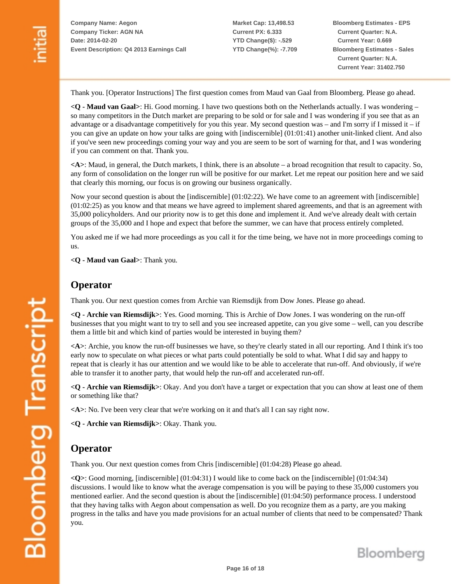**Market Cap: 13,498.53 Current PX: 6.333 YTD Change(\$): -.529 YTD Change(%): -7.709** **Bloomberg Estimates - EPS Current Quarter: N.A. Current Year: 0.669 Bloomberg Estimates - Sales Current Quarter: N.A. Current Year: 31402.750**

Thank you. [Operator Instructions] The first question comes from Maud van Gaal from Bloomberg. Please go ahead.

**<Q - Maud van Gaal>**: Hi. Good morning. I have two questions both on the Netherlands actually. I was wondering – so many competitors in the Dutch market are preparing to be sold or for sale and I was wondering if you see that as an advantage or a disadvantage competitively for you this year. My second question was – and I'm sorry if I missed it – if you can give an update on how your talks are going with [indiscernible] (01:01:41) another unit-linked client. And also if you've seen new proceedings coming your way and you are seem to be sort of warning for that, and I was wondering if you can comment on that. Thank you.

**<A>**: Maud, in general, the Dutch markets, I think, there is an absolute – a broad recognition that result to capacity. So, any form of consolidation on the longer run will be positive for our market. Let me repeat our position here and we said that clearly this morning, our focus is on growing our business organically.

Now your second question is about the [indiscernible] (01:02:22). We have come to an agreement with [indiscernible] (01:02:25) as you know and that means we have agreed to implement shared agreements, and that is an agreement with 35,000 policyholders. And our priority now is to get this done and implement it. And we've already dealt with certain groups of the 35,000 and I hope and expect that before the summer, we can have that process entirely completed.

You asked me if we had more proceedings as you call it for the time being, we have not in more proceedings coming to us.

**<Q - Maud van Gaal>**: Thank you.

#### **Operator**

Thank you. Our next question comes from Archie van Riemsdijk from Dow Jones. Please go ahead.

**<Q - Archie van Riemsdijk>**: Yes. Good morning. This is Archie of Dow Jones. I was wondering on the run-off businesses that you might want to try to sell and you see increased appetite, can you give some – well, can you describe them a little bit and which kind of parties would be interested in buying them?

**<A>**: Archie, you know the run-off businesses we have, so they're clearly stated in all our reporting. And I think it's too early now to speculate on what pieces or what parts could potentially be sold to what. What I did say and happy to repeat that is clearly it has our attention and we would like to be able to accelerate that run-off. And obviously, if we're able to transfer it to another party, that would help the run-off and accelerated run-off.

**<Q - Archie van Riemsdijk>**: Okay. And you don't have a target or expectation that you can show at least one of them or something like that?

**<A>**: No. I've been very clear that we're working on it and that's all I can say right now.

**<Q - Archie van Riemsdijk>**: Okay. Thank you.

### **Operator**

Thank you. Our next question comes from Chris [indiscernible] (01:04:28) Please go ahead.

**<Q>**: Good morning, [indiscernible] (01:04:31) I would like to come back on the [indiscernible] (01:04:34) discussions. I would like to know what the average compensation is you will be paying to these 35,000 customers you mentioned earlier. And the second question is about the [indiscernible] (01:04:50) performance process. I understood that they having talks with Aegon about compensation as well. Do you recognize them as a party, are you making progress in the talks and have you made provisions for an actual number of clients that need to be compensated? Thank you.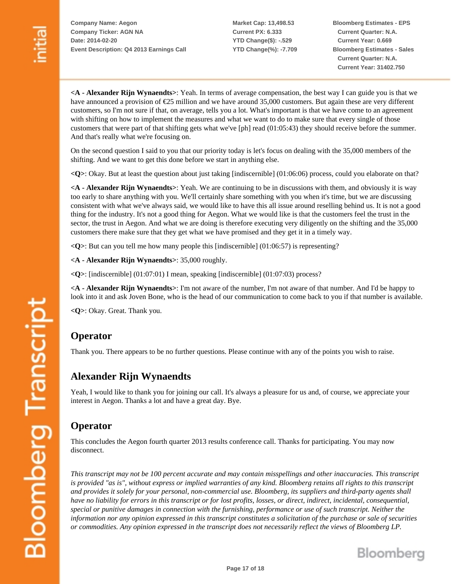**Market Cap: 13,498.53 Current PX: 6.333 YTD Change(\$): -.529 YTD Change(%): -7.709** **Bloomberg Estimates - EPS Current Quarter: N.A. Current Year: 0.669 Bloomberg Estimates - Sales Current Quarter: N.A. Current Year: 31402.750**

**<A - Alexander Rijn Wynaendts>**: Yeah. In terms of average compensation, the best way I can guide you is that we have announced a provision of €25 million and we have around 35,000 customers. But again these are very different customers, so I'm not sure if that, on average, tells you a lot. What's important is that we have come to an agreement with shifting on how to implement the measures and what we want to do to make sure that every single of those customers that were part of that shifting gets what we've [ph] read (01:05:43) they should receive before the summer. And that's really what we're focusing on.

On the second question I said to you that our priority today is let's focus on dealing with the 35,000 members of the shifting. And we want to get this done before we start in anything else.

**<Q>**: Okay. But at least the question about just taking [indiscernible] (01:06:06) process, could you elaborate on that?

**<A - Alexander Rijn Wynaendts>**: Yeah. We are continuing to be in discussions with them, and obviously it is way too early to share anything with you. We'll certainly share something with you when it's time, but we are discussing consistent with what we've always said, we would like to have this all issue around reselling behind us. It is not a good thing for the industry. It's not a good thing for Aegon. What we would like is that the customers feel the trust in the sector, the trust in Aegon. And what we are doing is therefore executing very diligently on the shifting and the 35,000 customers there make sure that they get what we have promised and they get it in a timely way.

**<Q>**: But can you tell me how many people this [indiscernible] (01:06:57) is representing?

**<A - Alexander Rijn Wynaendts>**: 35,000 roughly.

**<Q>**: [indiscernible] (01:07:01) I mean, speaking [indiscernible] (01:07:03) process?

**<A - Alexander Rijn Wynaendts>**: I'm not aware of the number, I'm not aware of that number. And I'd be happy to look into it and ask Joven Bone, who is the head of our communication to come back to you if that number is available.

**<Q>**: Okay. Great. Thank you.

#### **Operator**

Thank you. There appears to be no further questions. Please continue with any of the points you wish to raise.

### **Alexander Rijn Wynaendts**

Yeah, I would like to thank you for joining our call. It's always a pleasure for us and, of course, we appreciate your interest in Aegon. Thanks a lot and have a great day. Bye.

#### **Operator**

This concludes the Aegon fourth quarter 2013 results conference call. Thanks for participating. You may now disconnect.

*This transcript may not be 100 percent accurate and may contain misspellings and other inaccuracies. This transcript is provided "as is", without express or implied warranties of any kind. Bloomberg retains all rights to this transcript and provides it solely for your personal, non-commercial use. Bloomberg, its suppliers and third-party agents shall have no liability for errors in this transcript or for lost profits, losses, or direct, indirect, incidental, consequential, special or punitive damages in connection with the furnishing, performance or use of such transcript. Neither the information nor any opinion expressed in this transcript constitutes a solicitation of the purchase or sale of securities or commodities. Any opinion expressed in the transcript does not necessarily reflect the views of Bloomberg LP.*